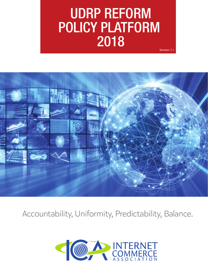## UDRP REFORM POLICY PLATFORM 2018 Version: 1.1



Accountability, Uniformity, Predictability, Balance.

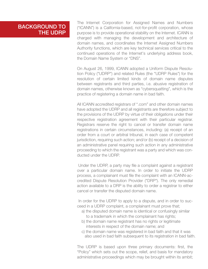### BACKGROUND TO THE UDRP

The Internet Corporation for Assigned Names and Numbers ("ICANN") is a California-based, not-for-profit corporation, whose purpose is to provide operational stability on the Internet. ICANN is charged with managing the development and architecture of domain names, and coordinates the Internet Assigned Numbers Authority functions, which are key technical services critical to the continued operations of the Internet's underlying address book, the Domain Name System or "DNS".

On August 26, 1999, ICANN adopted a Uniform Dispute Resolution Policy ("UDRP") and related Rules (the "UDRP Rules") for the resolution of certain limited kinds of domain name disputes between registrants and third parties, i.e. abusive registration of domain names, otherwise known as "cybersquatting", which is the practice of registering a domain name in bad faith.

All ICANN accredited registrars of ".com" and other domain names have adopted the UDRP and all registrants are therefore subject to the provisions of the UDRP by virtue of their obligations under their respective registration agreement with their particular registrar. Registrars reserve the right to cancel or transfer domain name registrations in certain circumstances, including: (a) receipt of an order from a court or arbitral tribunal, in each case of competent jurisdiction, requiring such action; and/or (b) receipt of a decision of an administrative panel requiring such action in any administrative proceeding to which the registrant was a party and which was conducted under the UDRP.

 Under the UDRP, a party may file a complaint against a registrant over a particular domain name. In order to initiate the UDRP process, a complainant must file the complaint with an ICANN-accredited Dispute Resolution Provider ("DRP"). The only remedial action available to a DRP is the ability to order a registrar to either cancel or transfer the disputed domain name.

 In order for the UDRP to apply to a dispute, and in order to succeed in a UDRP complaint, a complainant must prove that;

- a) the disputed domain name is identical or confusingly similar to a trademark in which the complainant has rights;
- b) the domain name registrant has no rights or legitimate interests in respect of the domain name; and
- c) the domain name was registered in bad faith and that it was also used in bad faith subsequent to its registration in bad faith.

The UDRP is based upon three primary documents: first, the "Policy" which sets out the scope, relief, and basis for mandatory administrative proceedings which may be brought within its ambit;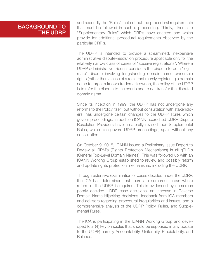## BACKGROUND TO THE UDRP

and secondly the "Rules" that set out the procedural requirements that must be followed in such a proceeding. Thirdly, there are "Supplementary Rules" which DRP's have enacted and which provide for additional procedural requirements observed by the particular DRP's.

The UDRP is intended to provide a streamlined, inexpensive administrative dispute-resolution procedure applicable only for the relatively narrow class of cases of "abusive registrations". Where a UDRP administrative tribunal considers the dispute to be a "legitimate" dispute involving longstanding domain name ownership rights (rather than a case of a registrant merely registering a domain name to target a known trademark owner), the policy of the UDRP is to refer the dispute to the courts and to not transfer the disputed domain name.

Since its inception in 1999, the UDRP has not undergone any reforms to the Policy itself, but without consultation with stakeholders, has undergone certain changes to the UDRP Rules which govern proceedings. In addition ICANN-accredited UDRP Dispute Resolution Providers have unilaterally revised their Supplemental Rules, which also govern UDRP proceedings, again without any consultation.

On October 9, 2015, ICANN issued a Preliminary Issue Report to Review all RPM's (Rights Protection Mechanisms) in all gTLD's (General Top-Level Domain Names). This was followed up with an ICANN Working Group established to review and possibly reform and update rights protection mechanisms, including the UDRP.

Through extensive examination of cases decided under the UDRP, the ICA has determined that there are numerous areas where reform of the UDRP is required. This is evidenced by numerous poorly decided UDRP case decisions, an increase in Reverse Domain Name Hijacking decisions, feedback from ICA members and advisors regarding procedural irregularities and issues, and a comprehensive analysis of the UDRP Policy, Rules, and Supplemental Rules.

The ICA is participating in the ICANN Working Group and developed four (4) key principles that should be espoused in any update to the UDRP, namely Accountability, Uniformity, Predictability, and Balance.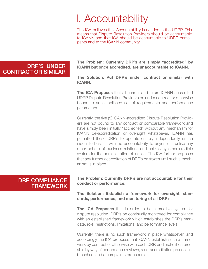# I. Accountability

The ICA believes that Accountability is needed in the UDRP. This means that Dispute Resolution Providers should be accountable to ICANN and that ICA should be accountable to UDRP partici- pants and to the ICANN community.

#### The Problem: Currently DRP's are simply "accredited" by ICANN but once accredited, are unaccountable to ICANN.

The Solution: Put DRP's under contract or similar with ICANN.

The ICA Proposes that all current and future ICANN-accredited UDRP Dispute Resolution Providers be under contract or otherwise bound to an established set of requirements and performance parameters.

Currently, the five (5) ICANN-accredited Dispute Resolution Providers are not bound to any contract or comparable framework and have simply been initially "accredited" without any mechanism for ICANN de-accreditation or oversight whatsoever. ICANN has permitted these DRP's to operate entirely independently on an indefinite basis – with no accountability to anyone – unlike any other sphere of business relations and unlike any other credible system for the administration of justice. The ICA further proposes that any further accreditation of DRP's be frozen until such a mechanism is in place.

## DRP COMPLIANCE FRAMEWORK

The Problem: Currently DRP's are not accountable for their conduct or performance.

The Solution: Establish a framework for oversight, standards, performance, and monitoring of all DRP's.

The ICA Proposes that in order to be a credible system for dispute resolution, DRP's be continually monitored for compliance with an established framework which establishes the DRP's mandate, role, restrictions, limitations, and performance levels.

Currently, there is no such framework in place whatsoever, and accordingly the ICA proposes that ICANN establish such a framework by contract or otherwise with each DRP, and make it enforceable by way of performance reviews, a de-accreditation process for breaches, and a complaints procedure.

## DRP'S UNDER CONTRACT OR SIMILAR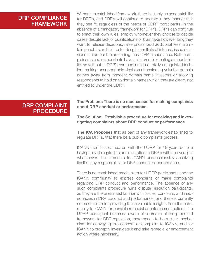## DRP COMPLIANCE FRAMEWORK

Without an established framework, there is simply no accountability for DRP's, and DRP's will continue to operate in any manner that they see fit, regardless of the needs of UDRP participants. In the absence of a mandatory framework for DRP's, DRP's can continue to enact their own rules, employ whomever they choose to decide cases despite lack of qualifications or bias, take however long they want to release decisions, raise prices, add additional fees, maintain panelists on their roster despite conflicts of interest, issue decisions tantamount to amending the UDRP in substance. Both complainants and respondents have an interest in creating accountability, as without it, DRP's can continue in a totally unregulated fashion, making unsupportable decisions transferring valuable domain names away from innocent domain name investors or allowing respondents to hold on to domain names which they are clearly not entitled to under the UDRP.

## DRP COMPLAINT PROCEDURE

The Problem: There is no mechanism for making complaints about DRP conduct or performance.

The Solution: Establish a procedure for receiving and investigating complaints about DRP conduct or performance

The ICA Proposes that as part of any framework established to regulate DRP's, that there be a public complaints process.

ICANN itself has carried on with the UDRP for 18 years despite having fully delegated its administration to DRP's with no oversight whatsoever. This amounts to ICANN unconscionably absolving itself of any responsibility for DRP conduct or performance.

There is no established mechanism for UDRP participants and the ICANN community to express concerns or make complaints regarding DRP conduct and performance. The absence of any such complaints procedure hurts dispute resolution participants, as they are the ones most familiar with issues, concerns, and inadequacies in DRP conduct and performance, and there is currently no mechanism for providing these valuable insights from the community to ICANN for possible remedial or enforcement actions. If a UDRP participant becomes aware of a breach of the proposed framework for DRP regulation, there needs to be a clear mechanism for conveying this concern or complaint to ICANN, and for ICANN to promptly investigate it and take remedial or enforcement action where necessary.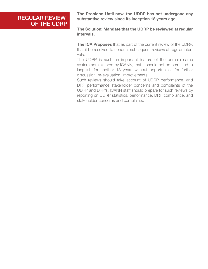## REGULAR REVIEW OF THE UDRP

The Problem: Until now, the UDRP has not undergone any substantive review since its inception 18 years ago.

The Solution: Mandate that the UDRP be reviewed at regular intervals.

The ICA Proposes that as part of the current review of the UDRP, that it be resolved to conduct subsequent reviews at regular intervals.

The UDRP is such an important feature of the domain name system administered by ICANN, that it should not be permitted to languish for another 18 years without opportunities for further discussion, re-evaluation, improvements.

Such reviews should take account of UDRP performance, and DRP performance stakeholder concerns and complaints of the UDRP and DRP's. ICANN staff should prepare for such reviews by reporting on UDRP statistics, performance, DRP compliance, and stakeholder concerns and complaints.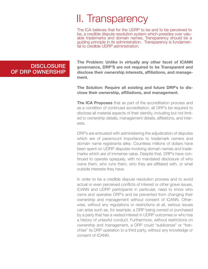# II. Transparency

The ICA believes that for the UDRP to be and to be perceived to be, a credible dispute resolution system which presides over valu- able trademarks and domain names, Transparency should be a guiding principle in its administration. Transparency is fundamen- tal to credible UDRP administration.

The Problem: Unlike in virtually any other facet of ICANN governance, DRP'S are not required to be Transparent and disclose their ownership interests, affiliations, and management.

The Solution: Require all existing and future DRP's to disclose their ownership, affiliations, and management.

The ICA Proposes that as part of the accreditation process and as a condition of continued accreditation, all DRP's be required to disclose all material aspects of their identity, including but not limited to ownership details, management details, affiliations, and interests.

DRP's are entrusted with administering the adjudication of disputes which are of paramount importance to trademark owners and domain name registrants alike. Countless millions of dollars have been spent on UDRP disputes involving domain names and trademarks which are of immense value. Despite that, DRP's have continued to operate opaquely, with no mandated disclosure of who owns them, who runs them, who they are affiliated with, or what outside interests they have.

In order to be a credible dispute resolution process and to avoid actual or even perceived conflicts of interest or other grave issues, ICANN and UDRP participants in particular, need to know who owns and operates DRP's and be prevented from changing their ownership and management without consent of ICANN. Otherwise, without any regulations or restrictions at all, serious issues can arise such as, for example, a DRP being owned or purchased by a party that has a vested interest in UDRP outcomes or who has a history of unlawful conduct. Furthermore, without restrictions on ownership and management, a DRP could "sublicense" or "franchise" its DRP operation to a third party, without any knowledge or consent of ICANN.

## **DISCLOSURE** OF DRP OWNERSHIP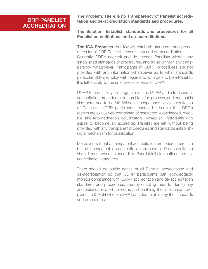## DRP PANELIST **ACCREDITATION**

The Problem: There is no Transparency of Panelist accreditation and de-accreditation standards and procedures.

The Solution: Establish standards and procedures for all Panelist accreditations and de-accreditations.

The ICA Proposes that ICANN establish standards and procedures for all DRP Panelist accreditation and de-accreditation. Currently, DRP's accredit and de-accredit Panelists without any established standards or procedures, and do so without any transparency whatsoever. Participants in UDRP procedures are not provided with any information whatsoever as to what standards particular DRP's employ with regards to who gets to be a Panelist. It is left entirely to the unknown discretion of DRP's.

UDRP Panelists play an integral role in the UDRP, and a transparent accreditation procedure is integral to a fair process, and one that is also perceived to be fair. Without transparency over accreditation of Panelists, UDRP participants cannot be certain that DRP's rosters are exclusively comprised of respected, experienced, credible, and knowledgeable adjudicators. Moreover, individuals who aspire to become an accredited Panelist are left without being provided with any transparent procedures and standards establishing a mechanism for qualification.

Moreover, without a transparent accreditation procedure, there can be no transparent de-accreditation procedure. De-accreditation should occur when an accredited Panelist fails to continue to meet accreditation standards.

There should be public notice of all Panelist accreditation and de-accreditation so that UDRP participants can knowledgably monitor compliance with ICANN accreditation and de-accreditation standards and procedures, thereby enabling them to identify any accreditation related concerns and enabling them to make complaints to ICANN where a DRP has failed to abide by the standards and procedures.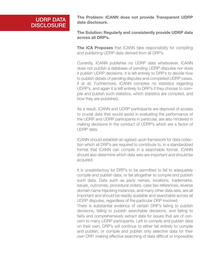## UDRP DATA **DISCLOSURE**

The Problem: ICANN does not provide Transparent UDRP data disclosure.

The Solution: Regularly and consistently provide UDRP data across all DRP's.

The ICA Proposes that ICANN take responsibility for compiling and publishing UDRP data derived from all DRP's.

Currently, ICANN publishes no UDRP data whatsoever. ICANN does not publish a database of pending UDRP disputes nor does it publish UDRP decisions. It is left entirely to DRP's to decide how to publish details of pending disputes and completed UDRP cases, if at all. Furthermore, ICANN compiles no statistics regarding UDRP's, and again it is left entirely to DRP's if they choose to compile and publish such statistics, which statistics are compiled, and how they are published.

As a result, ICANN and UDRP participants are deprived of access to crucial data that would assist in evaluating the performance of the UDRP and UDRP participants in particular, are also hindered in making decisions in the conduct of UDRP's which are a factor of UDRP data.

ICANN should establish an agreed upon framework for data collection which all DRP's are required to contribute to, in a standardized format that ICANN can compile in a searchable format. ICANN should also determine which data sets are important and should be acquired.

It is unsatisfactory for DRP's to be permitted to fail to adequately compile and publish data, or fail altogether to compile and publish such data. Data such as party names, locations, trademarks, issues, outcomes, procedural orders, case law references, reverse domain name hijacking instances, and many other data sets, are all important and should be readily available and searchable across all UDRP disputes, regardless of the particular DRP involved.

There is substantial evidence of certain DRP's failing to publish decisions, failing to publish searchable decisions, and failing to fairly and comprehensively extract data for issues that are of concern to many UDRP participants. Left to compile and publish data on their own, DRP's will continue to either fail entirely to compile and publish, or compile and publish only selective data for their own DRP, making effective searching of data difficult or impossible.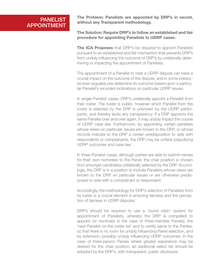### **PANELIST** APPOINTMENT

The Problem: Panelists are appointed by DRP's in secret, without any Transparent methodology.

#### The Solution: Require DRP's to follow an established and fair procedure for appointing Panelists to UDRP cases.

The ICA Proposes that DRP's be required to appoint Panelists pursuant to an established and fair mechanism that prevents DRP's from unduly influencing the outcome of DRP's by unilaterally determining or impacting the appointment of Panelists.

The appointment of a Panelist to hear a UDRP dispute can have a crucial impact on the outcome of the dispute, and in some instances even arguably pre-determine its outcome based upon a particular Panelist's recorded inclinations on particular UDRP issues.

In single-Panelist cases, DRP's unilaterally appoint a Panelist from their roster. The roster is public, however which Panelist from the roster is selected by the DRP is unknown by the UDRP participants, and thereby lacks any transparency. If a DRP appoints the same Panelist over and over again, it may unduly impact the course of UDRP case law. Furthermore, by appointing certain panelists whose views on particular issues are known to the DRP, or whose records indicate to the DRP a certain predisposition to side with respondents or complainants, the DRP may be unfairly prejudicing UDRP outcomes and case law.

In three-Panelist cases, although parties are able to submit names for their own nominees to the Panel, the chair position is chosen from amongst candidates unilaterally selected by the DRP. Accordingly, the DRP is in a position to include Panelists whose views are known to the DRP on particular issues or are otherwise predisposed to side with a complainant or respondent.

Accordingly, the methodology for DRP's selection of Panelists from its roster is a crucial element in ensuring fairness and the perception of fairness in UDRP disputes.

DRP's should be required to use a 'round robin' system for appointment of Panelists, whereby the DRP is compelled to appoint (or nominate in the case of three-member Panels), the 'next Panelist on the roster list' and to certify same to the Parties, so that there is no room for unduly influencing Panel selection, and by extension, possibly unduly influencing UDRP outcomes. In the case of three-person Panels where greater experience may be desired for the chair position, an additional select list should be adopted by the DRP's, with transparent, public disclosure.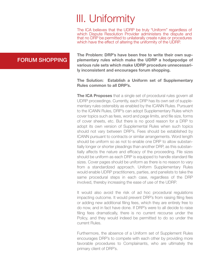# III. Uniformity

The ICA believes that the UDRP be truly "Uniform" regardless of which Dispute Resolution Provider administers the dispute and that no DRP be permitted to unilaterally create rules or procedures which have the effect of altering the uniformity of the UDRP.

## FORUM SHOPPING

The Problem: DRP's have been free to write their own supplementary rules which make the UDRP a hodgepodge of various rule sets which make UDRP procedure unnecessarily inconsistent and encourages forum shopping.

#### The Solution: Establish a Uniform set of Supplementary Rules common to all DRP's.

The ICA Proposes that a single set of procedural rules govern all UDRP proceedings. Currently, each DRP has its own set of supplementary rules ostensibly as enabled by the ICANN Rules. Pursuant to the ICANN Rules, DRP's can adopt Supplementary Rules which cover topics such as fees, word and page limits, and file size, forms of cover sheets, etc. But there is no good reason for a DRP to adopt its own version of Supplemental Rules when such topics should not vary between DRP's. Fees should be established by ICANN pursuant to contracts or similar arrangements. Word length should be uniform so as not to enable one DRP to allow substantially longer or shorter pleadings than another DRP, as this substantially affects the nature and efficacy of the proceeding. File sizes should be uniform as each DRP is equipped to handle standard file sizes. Cover pages should be uniform as there is no reason to vary from a standardized approach. Uniform Supplementary Rules would enable UDRP practitioners, parties, and panelists to take the same procedural steps in each case, regardless of the DRP involved, thereby increasing the ease of use of the UDRP.

It would also avoid the risk of ad hoc procedural regulations impacting outcome. It would prevent DRP's from raising filing fees or adding new additional filing fees, which they are entirely free to do now, and in fact have done. If DRP's were to all decide to raise filing fees dramatically, there is no current recourse under the Policy, and they would indeed be permitted to do so under the current Rules.

Furthermore, the absence of a Uniform set of Supplement Rules encourages DRP's to compete with each other by providing more favorable procedures to Complainants, who are ultimately the primary client of DRP's.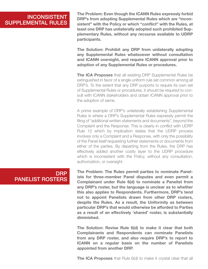### **INCONSISTENT** SUPPLEMENTAL RULES

The Problem: Even though the ICANN Rules expressly forbid DRP's from adopting Supplemental Rules which are "inconsistent" with the Policy or which "conflict" with the Rules, at least one DRP has unilaterally adopted such prohibited Supplementary Rules, without any recourse available to UDRP participants.

The Solution: Prohibit any DRP from unilaterally adopting any Supplemental Rules whatsoever without consultation and ICANN oversight, and require ICANN approval prior to adoption of any Supplemental Rules or procedures.

The ICA Proposes that all existing DRP Supplemental Rules be extinguished in favor of a single uniform rule set common among all DRP's. To the extent that any DRP purports to require its own set of Supplemental Rules or procedures, it should be required to consult with ICANN stakeholders and obtain ICANN approval prior to the adoption of same.

A prime example of DRP's unilaterally establishing Supplemental Rules is where a DRP's Supplemental Rules expressly permit the filing of "additional written statements and documents", beyond the Complaint and the Response. This is clearly in conflict with UDRP Rule 12 which by implication states that the UDRP process involves only a Complaint and a Response, with only the possibility of the Panel itself requesting further statements or documents from either of the parties. By departing from the Rules, the DRP has effectively added another costly layer to the UDRP procedure which is inconsistent with the Policy, without any consultation, authorization, or oversight.

### DRP PANELIST ROSTERS

The Problem: The Rules permit parties to nominate Panelists for three-member Panel disputes and even permit a Complainant under Rule 6(d) to nominate a Panelist from any DRP's roster, but the language is unclear as to whether this also applies to Respondents. Furthermore, DRP's tend not to appoint Panelists drawn from other DRP rosters, despite the Rules. As a result, the Uniformity as between particular DRP's that would otherwise be afforded to Parties as a result of an effectively 'shared' roster, is substantially diminished.

The Solution: Revise Rule 6(d) to make it clear that both Complainants and Respondents can nominate Panelists from any DRP roster, and also require DRP's to report to ICANN on a regular basis on the number of Panelists appointed from another DRP.

**The ICA Proposes** that Rule 6(d) to make it crystal clear that all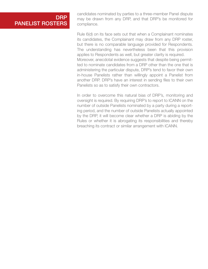### **DRP** PANELIST ROSTERS

candidates nominated by parties to a three-member Panel dispute may be drawn from any DRP, and that DRP's be monitored for compliance.

Rule 6(d) on its face sets out that when a Complainant nominates its candidates, the Complainant may draw from any DRP roster, but there is no comparable language provided for Respondents. The understanding has nevertheless been that this provision applies to Respondents as well, but greater clarity is required. Moreover, anecdotal evidence suggests that despite being permitted to nominate candidates from a DRP other than the one that is administering the particular dispute, DRP's tend to favor their own in-house Panelists rather than willingly appoint a Panelist from another DRP. DRP's have an interest in sending files to their own Panelists so as to satisfy their own contractors.

In order to overcome this natural bias of DRP's, monitoring and oversight is required. By requiring DRP's to report to ICANN on the number of outside Panelists nominated by a party during a reporting period, and the number of outside Panelists actually appointed by the DRP, it will become clear whether a DRP is abiding by the Rules or whether it is abrogating its responsibilities and thereby breaching its contract or similar arrangement with ICANN.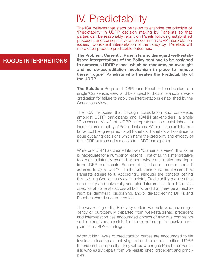## IV. Predictability

The ICA believes that steps be taken to enshrine the principle of 'Predictability' in UDRP decision making by Panelists so that parties can be reasonably reliant on Panels following established precedent and consensus views on common UDRP interpretation issues. Consistent interpretation of the Policy by Panelists will more often produce predictable outcomes.

The Problem: Currently, Panelists who disregard well-established interpretations of the Policy continue to be assigned to numerous UDRP cases, which no recourse, no oversight and no de-accreditation mechanism in place to remove these "rogue" Panelists who threaten the Predictability of the UDRP.

The Solution: Require all DRP's and Panelists to subscribe to a single 'Consensus View' and be subject to discipline and/or de-accreditation for failure to apply the interpretations established by the Consensus View.

The ICA Proposes that through consultation and consensus amongst UDRP participants and ICANN stakeholders, a single "Consensus View" of UDRP interpretation be established to increase predictability of Panel decisions. Without such an interpretative tool being required for all Panelists, Panelists will continue to issue outlaying decisions which harm the credibility and efficacy of the UDRP at tremendous costs to UDRP participants.

While one DRP has created its own "Consensus View", this alone is inadequate for a number of reasons. First of all, this interpretative tool was unilaterally created without wide consultation and input from UDRP participants. Second of all, it is not common nor is it adhered to by all DRP's. Third of all, there is no requirement that Panelists adhere to it. Accordingly, although the concept behind this existing Consensus View is helpful, Predictability requires that one unitary and universally accepted interpretative tool be developed for all Panelists across all DRP's, and that there be a mechanism for identifying, disciplining, and/or de-accrediting DRP's and Panelists who do not adhere to it.

The weakening of the Policy by certain Panelists who have negligently or purposefully departed from well-established precedent and interpretation has encouraged dozens of frivolous complaints and is directly responsible for the recent surge in abusive complaints and RDNH findings.

Without high levels of predictability, parties are encouraged to file frivolous pleadings employing outlandish or discredited UDRP theories in the hopes that they will draw a rogue Panelist or Panelists who easily depart from well-established precedent and principles.

## ROGUE INTERPRETIONS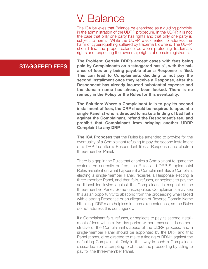## V. Balance

The ICA believes that Balance be enshrined as a guiding principle in the administration of the UDRP procedure. In the UDRP, it is not the case that only one party has rights and that only one party is subject to harm. While the UDRP was created to address the harm of cybersquatting suffered by trademark owners, The UDRP should find the proper balance between protecting trademark rights and respecting the ownership rights of domain registrants.

The Problem: Certain DRP's accept cases with fees being paid by Complainants on a 'staggered basis", with the balance of fees only being payable after a Response is filed. This can lead to Complainants deciding to not pay the second installment once they receive a Response, after the Respondent has already incurred substantial expense and the domain name has already been locked. There is no remedy in the Policy or the Rules for this eventuality.

The Solution: Where a Complainant fails to pay its second installment of fees, the DRP should be required to appoint a single Panelist who is directed to make a finding of bad faith against the Complainant, refund the Respondent's fee, and prohibit that Complainant from bringing another UDRP Complaint to any DRP.

The ICA Proposes that the Rules be amended to provide for the eventuality of a Complainant refusing to pay the second installment of a DRP fee after a Respondent files a Response and elects a three-member Panel.

There is a gap in the Rules that enables a Complainant to game the system. As currently drafted, the Rules and DRP Supplemental Rules are silent on what happens if a Complainant files a Complaint electing a single-member Panel, receives a Response electing a three-member Panel, and then fails, refuses, or neglects to pay the additional fee levied against the Complainant in respect of the three-member Panel. Some unscrupulous Complainants may see this as an opportunity to abscond from the proceeding when faced with a strong Response or an allegation of Reverse Domain Name Hijacking. DRP's are helpless in such circumstances, as the Rules do not address this contingency.

If a Complainant fails, refuses, or neglects to pay its second installment of fees within a five-day period without excuse, it is demonstrative of the Complainant's abuse of the UDRP process, and a single-member Panel should be appointed by the DRP and that Panelist should be directed to make a finding of RDNH against the defaulting Complainant. Only in that way is such a Complainant dissuaded from attempting to obstruct the proceeding by failing to pay for the three-member Panel.

## STAGGERED FEES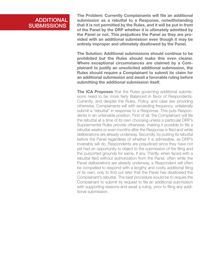## ADDITIONAL **SUBMISSIONS**

The Problem: Currently Complainants will file an additional submission as a rebuttal to a Response, notwithstanding that it is not permitted by the Rules, and it will be put in front of the Panel by the DRP whether it is ultimately admitted by the Panel or not. This prejudices the Panel as they are provided with an additional submission even though it may be entirely improper and ultimately disallowed by the Panel.

The Solution: Additional submissions should continue to be prohibited but the Rules should make this even clearer. Where exceptional circumstances are claimed by a Complainant to justify an unsolicited additional submission, the Rules should require a Complainant to submit its claim for an additional submission and await a favorable ruling before submitting the additional submission itself.

**The ICA Proposes** that the Rules governing additional submissions need to be more fairly Balanced in favor of Respondents. Currently, and despite the Rules, Policy, and case law providing otherwise, Complainants will with exceeding frequency, unilaterally submit a "rebuttal" in response to a Response. This puts Respondents in an untenable position. First of all, the Complainant will file the rebuttal at a time of its own choosing unless a particular DRP's Supplemental Rules provide otherwise, making it possible to file a rebuttal weeks or even months after the Response is filed and while deliberations are already underway. Secondly, by putting its rebuttal before the Panel regardless of whether it is admissible, as DRP's invariably will do, Respondents are prejudiced since they have not yet had an opportunity to object to the submission of the filing and the purported grounds for same, if any. Thirdly, when faced with a rebuttal filed without authorization from the Panel, often while the Panel deliberations are already underway, a Respondent will often be compelled to respond with a lengthy and costly additional filing of its own, only to find out later that the Panel has disallowed the Complainant's rebuttal. The best procedure would be to require the Complainant to submit its request to file an additional submission with supporting reasons and await a ruling, prior to filing any additional submission.